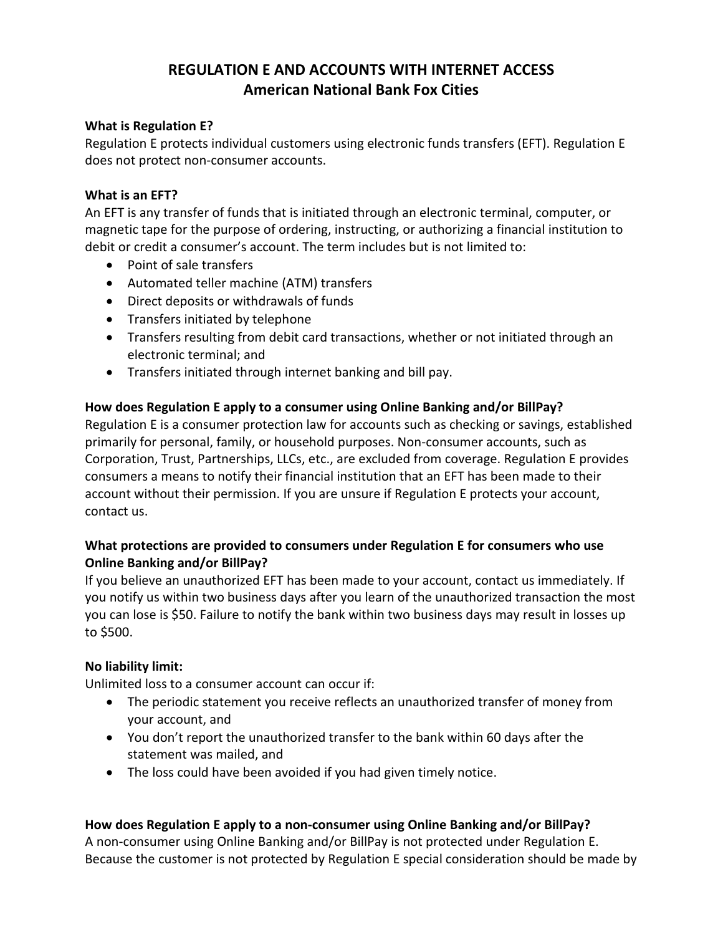# **REGULATION E AND ACCOUNTS WITH INTERNET ACCESS American National Bank Fox Cities**

#### **What is Regulation E?**

Regulation E protects individual customers using electronic funds transfers (EFT). Regulation E does not protect non-consumer accounts.

#### **What is an EFT?**

An EFT is any transfer of funds that is initiated through an electronic terminal, computer, or magnetic tape for the purpose of ordering, instructing, or authorizing a financial institution to debit or credit a consumer's account. The term includes but is not limited to:

- Point of sale transfers
- Automated teller machine (ATM) transfers
- Direct deposits or withdrawals of funds
- Transfers initiated by telephone
- Transfers resulting from debit card transactions, whether or not initiated through an electronic terminal; and
- Transfers initiated through internet banking and bill pay.

### **How does Regulation E apply to a consumer using Online Banking and/or BillPay?**

Regulation E is a consumer protection law for accounts such as checking or savings, established primarily for personal, family, or household purposes. Non-consumer accounts, such as Corporation, Trust, Partnerships, LLCs, etc., are excluded from coverage. Regulation E provides consumers a means to notify their financial institution that an EFT has been made to their account without their permission. If you are unsure if Regulation E protects your account, contact us.

# **What protections are provided to consumers under Regulation E for consumers who use Online Banking and/or BillPay?**

If you believe an unauthorized EFT has been made to your account, contact us immediately. If you notify us within two business days after you learn of the unauthorized transaction the most you can lose is \$50. Failure to notify the bank within two business days may result in losses up to \$500.

### **No liability limit:**

Unlimited loss to a consumer account can occur if:

- The periodic statement you receive reflects an unauthorized transfer of money from your account, and
- You don't report the unauthorized transfer to the bank within 60 days after the statement was mailed, and
- The loss could have been avoided if you had given timely notice.

### **How does Regulation E apply to a non-consumer using Online Banking and/or BillPay?**

A non-consumer using Online Banking and/or BillPay is not protected under Regulation E. Because the customer is not protected by Regulation E special consideration should be made by